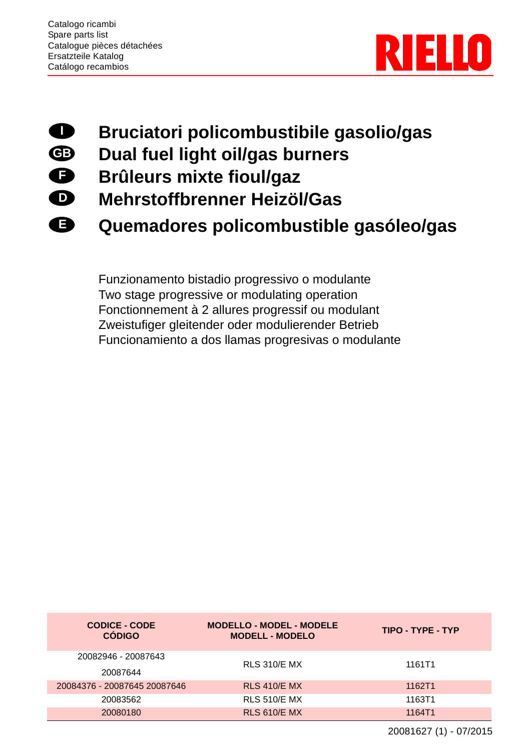



**E**

## **Bruciatori policombustibile gasolio/gas**

- **Dual fuel light oil/gas burners**
- **Brûleurs mixte fioul/gaz**
- **Mehrstoffbrenner Heizöl/Gas**
	- **Quemadores policombustible gasóleo/gas**

Funzionamento bistadio progressivo o modulante Two stage progressive or modulating operation Fonctionnement à 2 allures progressif ou modulant Zweistufiger gleitender oder modulierender Betrieb Funcionamiento a dos llamas progresivas o modulante

| <b>CODICE - CODE</b><br><b>CÓDIGO</b> | <b>MODELLO - MODEL - MODELE</b><br><b>MODELL - MODELO</b> | TIPO - TYPE - TYP |
|---------------------------------------|-----------------------------------------------------------|-------------------|
| 20082946 - 20087643<br>20087644       | <b>RLS 310/E MX</b>                                       | 1161T1            |
| 20084376 - 20087645 20087646          | <b>RLS 410/E MX</b>                                       | 1162T1            |
| 20083562                              | <b>RLS 510/E MX</b>                                       | 1163T1            |
| 20080180                              | <b>RLS 610/E MX</b>                                       | 1164T1            |

20081627 (1) - 07/2015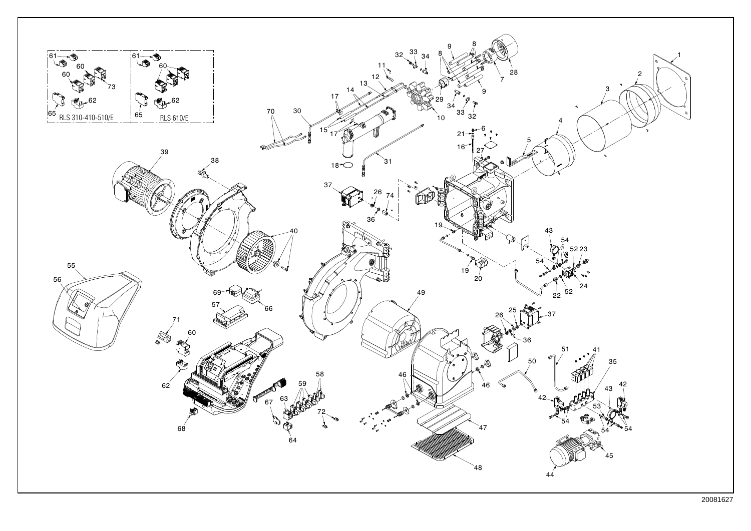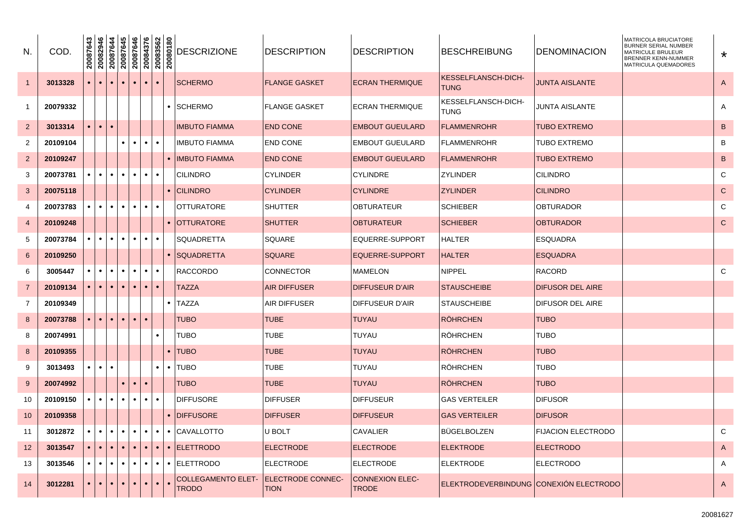| N.                      | COD.     | 20087643  | 20082946<br>20087644 |           | 20087645  | 20087646<br>20084376 |           |           | 20083562<br>20080180 | <b>DESCRIZIONE</b>                 | <b>DESCRIPTION</b>               | <b>DESCRIPTION</b>                     | <b>BESCHREIBUNG</b>                    | <b>DENOMINACION</b>       | MATRICOLA BRUCIATORE<br><b>BURNER SERIAL NUMBER</b><br>MATRICULE BRULEUR<br><b>BRENNER KENN-NUMMER</b><br><b>MATRICULA QUEMADORES</b> | $\star$        |
|-------------------------|----------|-----------|----------------------|-----------|-----------|----------------------|-----------|-----------|----------------------|------------------------------------|----------------------------------|----------------------------------------|----------------------------------------|---------------------------|---------------------------------------------------------------------------------------------------------------------------------------|----------------|
| $\mathbf{1}$            | 3013328  | $\bullet$ | $\bullet$            | $\bullet$ |           | $\bullet$            | $\bullet$ | $\bullet$ |                      | <b>SCHERMO</b>                     | <b>FLANGE GASKET</b>             | <b>ECRAN THERMIQUE</b>                 | KESSELFLANSCH-DICH-<br><b>TUNG</b>     | <b>JUNTA AISLANTE</b>     |                                                                                                                                       | $\overline{A}$ |
| 1                       | 20079332 |           |                      |           |           |                      |           |           |                      | • SCHERMO                          | <b>FLANGE GASKET</b>             | <b>ECRAN THERMIQUE</b>                 | KESSELFLANSCH-DICH-<br><b>TUNG</b>     | JUNTA AISLANTE            |                                                                                                                                       | Α              |
| $\overline{2}$          | 3013314  | $\bullet$ | $\bullet$            | $\bullet$ |           |                      |           |           |                      | IMBUTO FIAMMA                      | <b>END CONE</b>                  | <b>EMBOUT GUEULARD</b>                 | <b>FLAMMENROHR</b>                     | <b>TUBO EXTREMO</b>       |                                                                                                                                       | B              |
| $\overline{2}$          | 20109104 |           |                      |           |           | $\bullet$            | $\bullet$ | $\bullet$ |                      | <b>IMBUTO FIAMMA</b>               | <b>END CONE</b>                  | <b>EMBOUT GUEULARD</b>                 | <b>FLAMMENROHR</b>                     | <b>TUBO EXTREMO</b>       |                                                                                                                                       | B              |
| $\overline{\mathbf{c}}$ | 20109247 |           |                      |           |           |                      |           |           |                      | • IIMBUTO FIAMMA                   | <b>END CONE</b>                  | <b>EMBOUT GUEULARD</b>                 | <b>FLAMMENROHR</b>                     | <b>TUBO EXTREMO</b>       |                                                                                                                                       | B              |
| 3                       | 20073781 | $\bullet$ | $\bullet$            | $\bullet$ | $\bullet$ | $\bullet$            | $\bullet$ | $\bullet$ |                      | CILINDRO                           | <b>CYLINDER</b>                  | <b>CYLINDRE</b>                        | <b>ZYLINDER</b>                        | <b>CILINDRO</b>           |                                                                                                                                       | $\mathbf C$    |
| $\mathbf{3}$            | 20075118 |           |                      |           |           |                      |           |           |                      | • CILINDRO                         | <b>CYLINDER</b>                  | <b>CYLINDRE</b>                        | <b>ZYLINDER</b>                        | <b>CILINDRO</b>           |                                                                                                                                       | $\mathbf C$    |
| 4                       | 20073783 | $\bullet$ | $\bullet$            | $\bullet$ |           | $\bullet$            | $\bullet$ | $\bullet$ |                      | IOTTURATORE                        | <b>SHUTTER</b>                   | OBTURATEUR                             | <b>SCHIEBER</b>                        | <b>OBTURADOR</b>          |                                                                                                                                       | $\mathsf{C}$   |
| 4                       | 20109248 |           |                      |           |           |                      |           |           |                      | • IOTTURATORE                      | <b>SHUTTER</b>                   | <b>OBTURATEUR</b>                      | <b>SCHIEBER</b>                        | <b>OBTURADOR</b>          |                                                                                                                                       | $\mathbf C$    |
| 5                       | 20073784 | $\bullet$ | $\bullet$            | $\bullet$ |           | $\bullet$            | $\bullet$ | $\bullet$ |                      | SQUADRETTA                         | SQUARE                           | EQUERRE-SUPPORT                        | <b>HALTER</b>                          | <b>ESQUADRA</b>           |                                                                                                                                       |                |
| 6                       | 20109250 |           |                      |           |           |                      |           |           |                      | <b>SQUADRETTA</b>                  | <b>SQUARE</b>                    | EQUERRE-SUPPORT                        | <b>HALTER</b>                          | <b>ESQUADRA</b>           |                                                                                                                                       |                |
| 6                       | 3005447  | $\bullet$ | $\bullet$            | $\bullet$ |           | $\bullet$            | $\bullet$ | $\bullet$ |                      | <b>RACCORDO</b>                    | <b>CONNECTOR</b>                 | <b>MAMELON</b>                         | NIPPEL                                 | <b>RACORD</b>             |                                                                                                                                       | C              |
| $\overline{7}$          | 20109134 | $\bullet$ | $\bullet$            | $\bullet$ |           | $\bullet$            | $\bullet$ | $\bullet$ |                      | TAZZA                              | <b>AIR DIFFUSER</b>              | <b>DIFFUSEUR D'AIR</b>                 | <b>STAUSCHEIBE</b>                     | <b>DIFUSOR DEL AIRE</b>   |                                                                                                                                       |                |
| $\overline{7}$          | 20109349 |           |                      |           |           |                      |           |           | $\bullet$            | <b>TAZZA</b>                       | <b>AIR DIFFUSER</b>              | DIFFUSEUR D'AIR                        | <b>STAUSCHEIBE</b>                     | <b>DIFUSOR DEL AIRE</b>   |                                                                                                                                       |                |
| 8                       | 20073788 | $\bullet$ | $\bullet$            | $\bullet$ |           | $\bullet$            | $\bullet$ |           |                      | TUBO                               | <b>TUBE</b>                      | <b>TUYAU</b>                           | <b>RÖHRCHEN</b>                        | <b>TUBO</b>               |                                                                                                                                       |                |
| 8                       | 20074991 |           |                      |           |           |                      |           | $\bullet$ |                      | TUBO                               | <b>TUBE</b>                      | <b>TUYAU</b>                           | <b>RÖHRCHEN</b>                        | <b>TUBO</b>               |                                                                                                                                       |                |
| 8                       | 20109355 |           |                      |           |           |                      |           |           | $\bullet$            | TUBO                               | <b>TUBE</b>                      | <b>TUYAU</b>                           | <b>RÖHRCHEN</b>                        | <b>TUBO</b>               |                                                                                                                                       |                |
| 9                       | 3013493  | $\bullet$ | $\bullet$            |           |           |                      |           | $\bullet$ |                      | TUBO                               | <b>TUBE</b>                      | <b>TUYAU</b>                           | <b>RÖHRCHEN</b>                        | TUBO                      |                                                                                                                                       |                |
| $9\,$                   | 20074992 |           |                      |           |           |                      | $\bullet$ |           |                      | <b>TUBO</b>                        | <b>TUBE</b>                      | <b>TUYAU</b>                           | <b>RÖHRCHEN</b>                        | <b>TUBO</b>               |                                                                                                                                       |                |
| 10                      | 20109150 | $\bullet$ | $\bullet$            | $\bullet$ |           | $\bullet$            | $\bullet$ | $\bullet$ |                      | <b>DIFFUSORE</b>                   | <b>DIFFUSER</b>                  | <b>DIFFUSEUR</b>                       | <b>GAS VERTEILER</b>                   | <b>DIFUSOR</b>            |                                                                                                                                       |                |
| 10                      | 20109358 |           |                      |           |           |                      |           |           |                      | • <b>IDIFFUSORE</b>                | <b>DIFFUSER</b>                  | <b>DIFFUSEUR</b>                       | <b>GAS VERTEILER</b>                   | <b>DIFUSOR</b>            |                                                                                                                                       |                |
| 11                      | 3012872  | $\bullet$ | $\bullet$            | $\bullet$ | ٠         | $\bullet$            | $\bullet$ | $\bullet$ |                      | • ICAVALLOTTO                      | U BOLT                           | <b>CAVALIER</b>                        | <b>BUGELBOLZEN</b>                     | <b>FIJACION ELECTRODO</b> |                                                                                                                                       | $\mathsf{C}$   |
| 12                      | 3013547  | $\bullet$ | $\bullet$            | $\bullet$ |           | $\bullet$            | $\bullet$ | $\bullet$ |                      | • ELETTRODO                        | <b>ELECTRODE</b>                 | <b>ELECTRODE</b>                       | <b>ELEKTRODE</b>                       | <b>ELECTRODO</b>          |                                                                                                                                       | A              |
| 13                      | 3013546  | $\bullet$ | $\bullet$            | $\bullet$ |           | $\bullet$            | $\bullet$ | $\bullet$ |                      | • IELETTRODO                       | <b>ELECTRODE</b>                 | <b>ELECTRODE</b>                       | <b>ELEKTRODE</b>                       | <b>ELECTRODO</b>          |                                                                                                                                       | Α              |
| 14                      | 3012281  |           | $\bullet$            | $\bullet$ |           | $\bullet$            | $\bullet$ |           |                      | <b>COLLEGAMENTO ELET-</b><br>TRODO | ELECTRODE CONNEC-<br><b>TION</b> | <b>CONNEXION ELEC-</b><br><b>TRODE</b> | ELEKTRODEVERBINDUNG CONEXION ELECTRODO |                           |                                                                                                                                       | A              |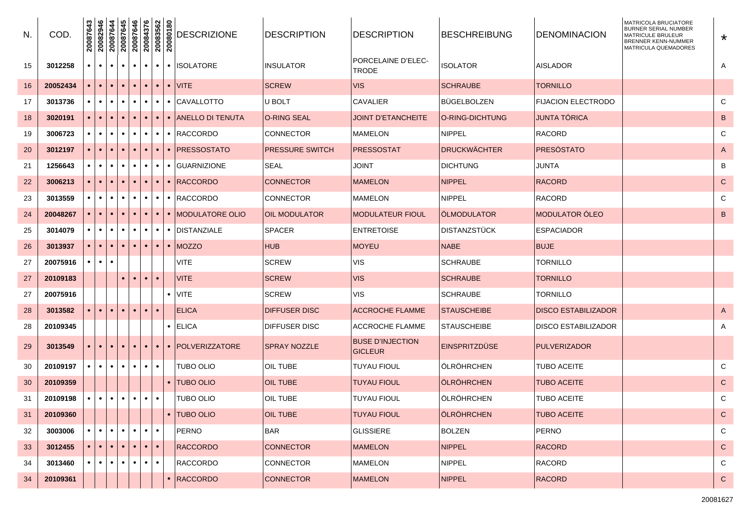| N. | COD.     | 20087643  | 20082946  | 20087644  | 20087645  | 20087646  | 20084376<br>20083562<br>20080180 |           |           | <b>DESCRIZIONE</b>    | <b>DESCRIPTION</b>    | <b>DESCRIPTION</b>                        | <b>BESCHREIBUNG</b>  | <b>DENOMINACION</b>        | MATRICOLA BRUCIATORE<br><b>BURNER SERIAL NUMBER</b><br><b>MATRICULE BRULEUR</b><br><b>BRENNER KENN-NUMMER</b><br>MATRICULA QUEMADORES | $\star$       |
|----|----------|-----------|-----------|-----------|-----------|-----------|----------------------------------|-----------|-----------|-----------------------|-----------------------|-------------------------------------------|----------------------|----------------------------|---------------------------------------------------------------------------------------------------------------------------------------|---------------|
| 15 | 3012258  | $\bullet$ | $\bullet$ | $\bullet$ | $\bullet$ | $\bullet$ | $\bullet$                        | $\bullet$ |           | • ISOLATORE           | <b>INSULATOR</b>      | <b>PORCELAINE D'ELEC-</b><br><b>TRODE</b> | <b>ISOLATOR</b>      | AISLADOR                   |                                                                                                                                       | A             |
| 16 | 20052434 |           | $\bullet$ | $\bullet$ | $\bullet$ | $\bullet$ | $\bullet$                        | $\bullet$ |           | $\bullet$ VITE        | <b>SCREW</b>          | <b>VIS</b>                                | <b>SCHRAUBE</b>      | TORNILLO                   |                                                                                                                                       |               |
| 17 | 3013736  | $\bullet$ | $\bullet$ | $\bullet$ | $\bullet$ |           | $\bullet$                        | $\bullet$ |           | • CAVALLOTTO          | U BOLT                | <b>CAVALIER</b>                           | <b>BUGELBOLZEN</b>   | <b>FIJACION ELECTRODO</b>  |                                                                                                                                       | C             |
| 18 | 3020191  |           | $\bullet$ | $\bullet$ | $\bullet$ |           | $\bullet$                        | $\bullet$ |           | • ANELLO DI TENUTA    | O-RING SEAL           | <b>JOINT D'ETANCHEITE</b>                 | O-RING-DICHTUNG      | <b>JUNTA TÓRICA</b>        |                                                                                                                                       | B             |
| 19 | 3006723  | $\bullet$ | $\bullet$ | $\bullet$ | $\bullet$ |           |                                  | ٠         |           | • RACCORDO            | <b>CONNECTOR</b>      | <b>MAMELON</b>                            | <b>NIPPEL</b>        | <b>RACORD</b>              |                                                                                                                                       | C             |
| 20 | 3012197  |           | $\bullet$ |           | $\bullet$ | $\bullet$ | $\bullet$                        | $\bullet$ |           | • <b>PRESSOSTATO</b>  | PRESSURE SWITCH       | PRESSOSTAT                                | DRUCKWÄCHTER         | <b>PRESOSTATO</b>          |                                                                                                                                       | A             |
| 21 | 1256643  | $\bullet$ | ٠         | ٠         | ٠         |           | $\bullet$                        | ٠         |           | • GUARNIZIONE         | SEAL                  | <b>JOINT</b>                              | <b>DICHTUNG</b>      | <b>JUNTA</b>               |                                                                                                                                       | В             |
| 22 | 3006213  | $\bullet$ |           | $\bullet$ |           | $\bullet$ | $\bullet$                        | $\bullet$ |           | $\bullet$ RACCORDO    | <b>CONNECTOR</b>      | <b>MAMELON</b>                            | <b>NIPPEL</b>        | <b>RACORD</b>              |                                                                                                                                       | C             |
| 23 | 3013559  | $\bullet$ | ٠         | ٠         | ٠         |           | $\bullet$                        | ٠         |           | $\bullet$  RACCORDO   | <b>CONNECTOR</b>      | <b>MAMELON</b>                            | <b>NIPPEL</b>        | <b>RACORD</b>              |                                                                                                                                       | C             |
| 24 | 20048267 | $\bullet$ | $\bullet$ |           |           | $\bullet$ | $\bullet$                        | $\bullet$ |           | • IMODULATORE OLIO    | <b>IOIL MODULATOR</b> | <b>MODULATEUR FIOUL</b>                   | <b>OLMODULATOR</b>   | <b>MODULATOR ÓLEO</b>      |                                                                                                                                       | B             |
| 25 | 3014079  | $\bullet$ | ٠         | $\bullet$ | $\bullet$ | ٠         | $\bullet$                        | ٠         |           | • IDISTANZIALE        | <b>SPACER</b>         | <b>ENTRETOISE</b>                         | DISTANZSTÜCK         | <b>ESPACIADOR</b>          |                                                                                                                                       |               |
| 26 | 3013937  | $\bullet$ | $\bullet$ | $\bullet$ | $\bullet$ | $\bullet$ | $\bullet$                        | $\bullet$ |           | $\bullet$  MOZZO      | <b>HUB</b>            | <b>MOYEU</b>                              | <b>NABE</b>          | <b>BUJE</b>                |                                                                                                                                       |               |
| 27 | 20075916 |           | ٠         |           |           |           |                                  |           |           | VITE                  | <b>SCREW</b>          | <b>VIS</b>                                | <b>SCHRAUBE</b>      | TORNILLO                   |                                                                                                                                       |               |
| 27 | 20109183 |           |           |           |           | $\bullet$ | $\bullet$                        | $\bullet$ |           | <b>VITE</b>           | <b>SCREW</b>          | <b>VIS</b>                                | <b>SCHRAUBE</b>      | TORNILLO                   |                                                                                                                                       |               |
| 27 | 20075916 |           |           |           |           |           |                                  |           |           | $\bullet$ VITE        | <b>SCREW</b>          | <b>VIS</b>                                | SCHRAUBE             | <b>TORNILLO</b>            |                                                                                                                                       |               |
| 28 | 3013582  | $\bullet$ | $\bullet$ | $\bullet$ | $\bullet$ | $\bullet$ | $\bullet$                        | $\bullet$ |           | <b>ELICA</b>          | <b>DIFFUSER DISC</b>  | <b>ACCROCHE FLAMME</b>                    | <b>STAUSCHEIBE</b>   | <b>DISCO ESTABILIZADOR</b> |                                                                                                                                       | A             |
| 28 | 20109345 |           |           |           |           |           |                                  |           | ٠         | <b>ELICA</b>          | <b>DIFFUSER DISC</b>  | <b>ACCROCHE FLAMME</b>                    | <b>STAUSCHEIBE</b>   | <b>DISCO ESTABILIZADOR</b> |                                                                                                                                       | A             |
| 29 | 3013549  | $\bullet$ | $\bullet$ | $\bullet$ | $\bullet$ | $\bullet$ | $\bullet$                        | $\bullet$ | $\bullet$ | <b>POLVERIZZATORE</b> | <b>SPRAY NOZZLE</b>   | <b>BUSE D'INJECTION</b><br><b>GICLEUR</b> | <b>EINSPRITZDÜSE</b> | <b>PULVERIZADOR</b>        |                                                                                                                                       |               |
| 30 | 20109197 | $\bullet$ | $\bullet$ | $\bullet$ | $\bullet$ | $\bullet$ | $\bullet$                        | $\bullet$ |           | TUBO OLIO             | <b>OIL TUBE</b>       | <b>TUYAU FIOUL</b>                        | ∣ÖLRÖHRCHEN          | TUBO ACEITE                |                                                                                                                                       | C             |
| 30 | 20109359 |           |           |           |           |           |                                  |           |           | • ITUBO OLIO          | <b>OIL TUBE</b>       | <b>TUYAU FIOUL</b>                        | ÖLRÖHRCHEN           | <b>TUBO ACEITE</b>         |                                                                                                                                       | $\mathsf{C}$  |
| 31 | 20109198 | $\bullet$ | $\bullet$ | $\bullet$ | $\bullet$ | $\bullet$ | $\bullet$                        | $\bullet$ |           | <b>TUBO OLIO</b>      | <b>OIL TUBE</b>       | <b>TUYAU FIOUL</b>                        | ∣ÖLRÖHRCHEN          | TUBO ACEITE                |                                                                                                                                       | C             |
| 31 | 20109360 |           |           |           |           |           |                                  |           |           | • TUBO OLIO           | <b>OIL TUBE</b>       | <b>TUYAU FIOUL</b>                        | <b>ÖLRÖHRCHEN</b>    | <b>TUBO ACEITE</b>         |                                                                                                                                       | $\mathcal{C}$ |
| 32 | 3003006  | $\bullet$ | $\bullet$ | $\bullet$ | $\bullet$ | $\bullet$ | $\bullet$                        | $\bullet$ |           | <b>PERNO</b>          | <b>BAR</b>            | <b>GLISSIERE</b>                          | <b>BOLZEN</b>        | <b>PERNO</b>               |                                                                                                                                       | $\mathsf{C}$  |
| 33 | 3012455  | $\bullet$ | $\bullet$ | $\bullet$ | $\bullet$ | $\bullet$ | $\bullet$                        | $\bullet$ |           | <b>RACCORDO</b>       | CONNECTOR             | <b>MAMELON</b>                            | <b>NIPPEL</b>        | <b>RACORD</b>              |                                                                                                                                       | $\mathsf{C}$  |
| 34 | 3013460  | $\bullet$ | $\bullet$ | $\bullet$ | $\bullet$ | $\bullet$ | $\bullet$                        | $\bullet$ |           | RACCORDO              | <b>CONNECTOR</b>      | <b>MAMELON</b>                            | <b>NIPPEL</b>        | <b>RACORD</b>              |                                                                                                                                       | C             |
| 34 | 20109361 |           |           |           |           |           |                                  |           |           | • RACCORDO            | <b>CONNECTOR</b>      | <b>MAMELON</b>                            | <b>NIPPEL</b>        | <b>RACORD</b>              |                                                                                                                                       | $\mathbf{C}$  |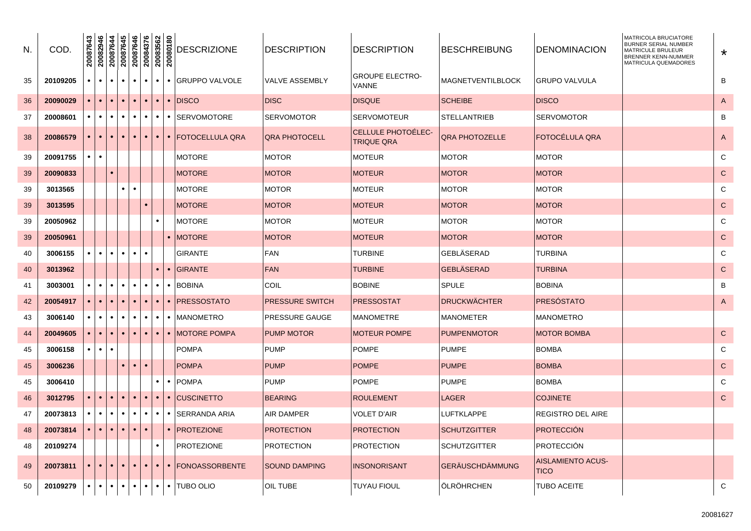| N. | COD.     | 20087643  | 20082946  | SP94800Z<br>++94800Z |           | 20087646  | 20084376  | 20083562  | 20080180  | <b>DESCRIZIONE</b>     | <b>DESCRIPTION</b>     | <b>DESCRIPTION</b>                      | <b>BESCHREIBUNG</b>    | <b>DENOMINACION</b>                     | <b>MATRICOLA BRUCIATORE</b><br><b>BURNER SERIAL NUMBER</b><br><b>MATRICULE BRULEUR</b><br><b>BRENNER KENN-NUMMER</b><br><b>MATRICULA QUEMADORES</b> | $\star$        |
|----|----------|-----------|-----------|----------------------|-----------|-----------|-----------|-----------|-----------|------------------------|------------------------|-----------------------------------------|------------------------|-----------------------------------------|-----------------------------------------------------------------------------------------------------------------------------------------------------|----------------|
| 35 | 20109205 | $\bullet$ | $\bullet$ | $\bullet$            | $\bullet$ | $\bullet$ | $\bullet$ | $\bullet$ |           | • GRUPPO VALVOLE       | <b>VALVE ASSEMBLY</b>  | <b>GROUPE ELECTRO-</b><br><b>VANNE</b>  | MAGNETVENTILBLOCK      | <b>GRUPO VALVULA</b>                    |                                                                                                                                                     | B              |
| 36 | 20090029 | $\bullet$ | $\bullet$ | $\bullet$            | $\bullet$ | $\bullet$ | $\bullet$ | $\bullet$ |           | $\cdot$ DISCO          | <b>DISC</b>            | <b>DISQUE</b>                           | <b>SCHEIBE</b>         | <b>DISCO</b>                            |                                                                                                                                                     | $\mathsf{A}$   |
| 37 | 20008601 | $\bullet$ | $\bullet$ | $\bullet$            | $\bullet$ | $\bullet$ |           | $\bullet$ | $\bullet$ | <b>SERVOMOTORE</b>     | <b>SERVOMOTOR</b>      | <b>SERVOMOTEUR</b>                      | <b>STELLANTRIEB</b>    | SERVOMOTOR                              |                                                                                                                                                     | B              |
| 38 | 20086579 | $\bullet$ | $\bullet$ | $\bullet$            | $\bullet$ | $\bullet$ |           | $\bullet$ |           | • FOTOCELLULA QRA      | <b>QRA PHOTOCELL</b>   | CELLULE PHOTOÉLEC-<br><b>TRIQUE QRA</b> | <b>QRA PHOTOZELLE</b>  | FOTOCÉLULA QRA                          |                                                                                                                                                     | $\overline{A}$ |
| 39 | 20091755 | $\bullet$ | $\bullet$ |                      |           |           |           |           |           | <b>MOTORE</b>          | <b>MOTOR</b>           | <b>MOTEUR</b>                           | <b>MOTOR</b>           | <b>MOTOR</b>                            |                                                                                                                                                     | C              |
| 39 | 20090833 |           |           |                      |           |           |           |           |           | <b>MOTORE</b>          | <b>MOTOR</b>           | <b>MOTEUR</b>                           | <b>MOTOR</b>           | <b>MOTOR</b>                            |                                                                                                                                                     | $\mathsf{C}$   |
| 39 | 3013565  |           |           |                      | $\bullet$ |           |           |           |           | <b>MOTORE</b>          | <b>MOTOR</b>           | <b>MOTEUR</b>                           | <b>MOTOR</b>           | <b>MOTOR</b>                            |                                                                                                                                                     | C              |
| 39 | 3013595  |           |           |                      |           |           |           |           |           | <b>MOTORE</b>          | <b>MOTOR</b>           | <b>MOTEUR</b>                           | <b>MOTOR</b>           | <b>MOTOR</b>                            |                                                                                                                                                     | $\mathsf{C}$   |
| 39 | 20050962 |           |           |                      |           |           |           | $\bullet$ |           | <b>MOTORE</b>          | <b>MOTOR</b>           | <b>MOTEUR</b>                           | <b>MOTOR</b>           | <b>MOTOR</b>                            |                                                                                                                                                     | C              |
| 39 | 20050961 |           |           |                      |           |           |           |           | $\bullet$ | <b>MOTORE</b>          | <b>MOTOR</b>           | <b>MOTEUR</b>                           | <b>MOTOR</b>           | <b>MOTOR</b>                            |                                                                                                                                                     | $\mathsf{C}$   |
| 40 | 3006155  | $\bullet$ | $\bullet$ | $\bullet$            | $\bullet$ | $\bullet$ |           |           |           | <b>GIRANTE</b>         | <b>FAN</b>             | <b>TURBINE</b>                          | GEBLÄSERAD             | <b>TURBINA</b>                          |                                                                                                                                                     | $\mathsf{C}$   |
| 40 | 3013962  |           |           |                      |           |           |           | $\bullet$ | $\bullet$ | <b>GIRANTE</b>         | <b>FAN</b>             | <b>TURBINE</b>                          | <b>GEBLÄSERAD</b>      | <b>TURBINA</b>                          |                                                                                                                                                     | $\mathbf C$    |
| 41 | 3003001  | $\bullet$ | $\bullet$ | $\bullet$            | $\bullet$ | $\bullet$ |           | ٠         | $\bullet$ | <b>BOBINA</b>          | COIL                   | <b>BOBINE</b>                           | <b>SPULE</b>           | <b>BOBINA</b>                           |                                                                                                                                                     | B              |
| 42 | 20054917 | $\bullet$ | $\bullet$ | $\bullet$            | $\bullet$ | $\bullet$ |           | $\bullet$ |           | • <b>PRESSOSTATO</b>   | <b>PRESSURE SWITCH</b> | <b>PRESSOSTAT</b>                       | <b>DRUCKWÄCHTER</b>    | PRESÓSTATO                              |                                                                                                                                                     | A              |
| 43 | 3006140  | $\bullet$ | $\bullet$ | $\bullet$            | $\bullet$ | $\bullet$ | $\bullet$ | $\bullet$ |           | • MANOMETRO            | PRESSURE GAUGE         | <b>MANOMETRE</b>                        | <b>MANOMETER</b>       | <b>MANOMETRO</b>                        |                                                                                                                                                     |                |
| 44 | 20049605 | $\bullet$ | $\bullet$ | $\bullet$            | $\bullet$ | $\bullet$ | $\bullet$ | $\bullet$ |           | $\bullet$ MOTORE POMPA | <b>PUMP MOTOR</b>      | <b>MOTEUR POMPE</b>                     | <b>PUMPENMOTOR</b>     | <b>MOTOR BOMBA</b>                      |                                                                                                                                                     | $\mathsf{C}$   |
| 45 | 3006158  | $\bullet$ | $\bullet$ | $\bullet$            |           |           |           |           |           | <b>POMPA</b>           | <b>PUMP</b>            | <b>POMPE</b>                            | <b>PUMPE</b>           | <b>BOMBA</b>                            |                                                                                                                                                     | C              |
| 45 | 3006236  |           |           |                      | $\bullet$ | $\bullet$ |           |           |           | <b>POMPA</b>           | <b>PUMP</b>            | <b>POMPE</b>                            | <b>PUMPE</b>           | <b>BOMBA</b>                            |                                                                                                                                                     | $\mathsf{C}$   |
| 45 | 3006410  |           |           |                      |           |           |           | $\bullet$ |           | $\bullet$ POMPA        | <b>PUMP</b>            | <b>POMPE</b>                            | <b>PUMPE</b>           | <b>BOMBA</b>                            |                                                                                                                                                     | C              |
| 46 | 3012795  | $\bullet$ | $\bullet$ | $\bullet$            | $\bullet$ | $\bullet$ |           | $\bullet$ | $\bullet$ | <b>CUSCINETTO</b>      | <b>BEARING</b>         | <b>ROULEMENT</b>                        | LAGER                  | <b>COJINETE</b>                         |                                                                                                                                                     | $\mathsf{C}$   |
| 47 | 20073813 | $\bullet$ | $\bullet$ | $\bullet$            | $\bullet$ | $\bullet$ | $\bullet$ | $\bullet$ | $\bullet$ | <b>SERRANDA ARIA</b>   | <b>AIR DAMPER</b>      | <b>VOLET D'AIR</b>                      | <b>LUFTKLAPPE</b>      | <b>REGISTRO DEL AIRE</b>                |                                                                                                                                                     |                |
| 48 | 20073814 | $\bullet$ | $\bullet$ | $\bullet$            | $\bullet$ | $\bullet$ |           |           | $\bullet$ | <b>PROTEZIONE</b>      | <b>PROTECTION</b>      | <b>PROTECTION</b>                       | <b>SCHUTZGITTER</b>    | <b>PROTECCION</b>                       |                                                                                                                                                     |                |
| 48 | 20109274 |           |           |                      |           |           |           | $\bullet$ |           | <b>PROTEZIONE</b>      | <b>PROTECTION</b>      | <b>PROTECTION</b>                       | <b>SCHUTZGITTER</b>    | <b>PROTECCIÓN</b>                       |                                                                                                                                                     |                |
| 49 | 20073811 | $\bullet$ | $\bullet$ |                      | $\bullet$ |           |           | $\bullet$ | $\bullet$ | <b>IFONOASSORBENTE</b> | <b>SOUND DAMPING</b>   | <b>INSONORISANT</b>                     | <b>GERÄUSCHDÄMMUNG</b> | <b>AISLAMIENTO ACUS-</b><br><b>TICO</b> |                                                                                                                                                     |                |
| 50 | 20109279 | $\bullet$ | $\bullet$ | $\bullet$            | $\bullet$ | $\bullet$ | $\bullet$ | $\bullet$ |           | • ITUBO OLIO           | OIL TUBE               | <b>TUYAU FIOUL</b>                      | ÖLRÖHRCHEN             | <b>TUBO ACEITE</b>                      |                                                                                                                                                     | $\mathbf C$    |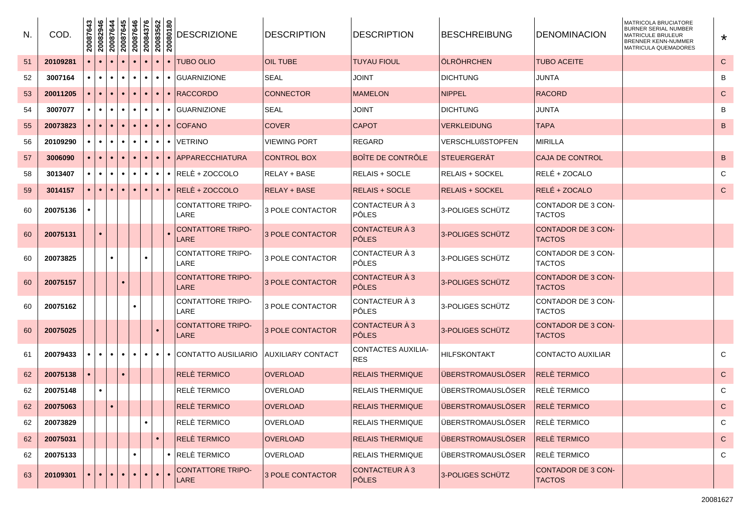| N. | COD.     | 20087643  | 20082946  | 20087644  | 20087645  | 20087646  | 20084376  | 20083562<br>20080180   | <b>DESCRIZIONE</b>                      | <b>DESCRIPTION</b>       | DESCRIPTION                             | BESCHREIBUNG             | <b>IDENOMINACION</b>                | MATRICOLA BRUCIATORE<br><b>BURNER SERIAL NUMBER</b><br><b>MATRICULE BRULEUR</b><br><b>BRENNER KENN-NUMMER</b><br>MATRICULA QUEMADORES | $\star$      |
|----|----------|-----------|-----------|-----------|-----------|-----------|-----------|------------------------|-----------------------------------------|--------------------------|-----------------------------------------|--------------------------|-------------------------------------|---------------------------------------------------------------------------------------------------------------------------------------|--------------|
| 51 | 20109281 |           |           |           |           |           | $\bullet$ |                        | <b>TUBO OLIO</b><br>$\bullet$           | <b>OIL TUBE</b>          | <b>TUYAU FIOUL</b>                      | <b>ÖLRÖHRCHEN</b>        | <b>TUBO ACEITE</b>                  |                                                                                                                                       | $\mathsf{C}$ |
| 52 | 3007164  | $\bullet$ | $\bullet$ | $\bullet$ | $\bullet$ | $\bullet$ | $\bullet$ | $\bullet$<br>$\bullet$ | <b>GUARNIZIONE</b>                      | <b>SEAL</b>              | JOINT                                   | <b>DICHTUNG</b>          | <b>JUNTA</b>                        |                                                                                                                                       | B            |
| 53 | 20011205 |           | $\bullet$ |           |           |           | $\bullet$ | $\bullet$<br>$\bullet$ | <b>RACCORDO</b>                         | <b>CONNECTOR</b>         | <b>MAMELON</b>                          | <b>NIPPEL</b>            | <b>RACORD</b>                       |                                                                                                                                       | $\mathsf{C}$ |
| 54 | 3007077  | $\bullet$ | $\bullet$ | $\bullet$ | $\bullet$ | $\bullet$ | $\bullet$ | $\bullet$<br>$\bullet$ | <b>GUARNIZIONE</b>                      | <b>SEAL</b>              | JOINT                                   | <b>DICHTUNG</b>          | <b>JUNTA</b>                        |                                                                                                                                       | B            |
| 55 | 20073823 |           | $\bullet$ |           |           |           | $\bullet$ | $\bullet$<br>$\bullet$ | <b>COFANO</b>                           | <b>COVER</b>             | <b>CAPOT</b>                            | <b>VERKLEIDUNG</b>       | <b>TAPA</b>                         |                                                                                                                                       | B            |
| 56 | 20109290 |           | $\bullet$ | $\bullet$ | $\bullet$ | $\bullet$ | $\bullet$ | $\bullet$<br>$\bullet$ | <b>VETRINO</b>                          | VIEWING PORT             | REGARD                                  | <b>VERSCHLUßSTOPFEN</b>  | <b>MIRILLA</b>                      |                                                                                                                                       |              |
| 57 | 3006090  |           | $\bullet$ |           |           |           | $\bullet$ | $\bullet$<br>$\bullet$ | APPARECCHIATURA                         | <b>CONTROL BOX</b>       | <b>BOÎTE DE CONTRÔLE</b>                | <b>ISTEUERGERAT</b>      | <b>CAJA DE CONTROL</b>              |                                                                                                                                       | B            |
| 58 | 3013407  | $\bullet$ | $\bullet$ | $\bullet$ | $\bullet$ | $\bullet$ | $\bullet$ | $\bullet$<br>$\bullet$ | RELE + ZOCCOLO                          | RELAY + BASE             | <b>RELAIS + SOCLE</b>                   | <b>RELAIS + SOCKEL</b>   | RELÉ + ZOCALO                       |                                                                                                                                       | C            |
| 59 | 3014157  |           | $\bullet$ |           |           | $\bullet$ | $\bullet$ | $\bullet$<br>$\bullet$ | RELE + ZOCCOLO                          | <b>RELAY + BASE</b>      | <b>RELAIS + SOCLE</b>                   | <b>RELAIS + SOCKEL</b>   | RELÉ + ZOCALO                       |                                                                                                                                       | $\mathsf{C}$ |
| 60 | 20075136 |           |           |           |           |           |           |                        | <b>CONTATTORE TRIPO-</b><br>LARE        | 3 POLE CONTACTOR         | CONTACTEUR À 3<br><b>PÔLES</b>          | 3-POLIGES SCHÜTZ         | CONTADOR DE 3 CON-<br><b>TACTOS</b> |                                                                                                                                       |              |
| 60 | 20075131 |           | $\bullet$ |           |           |           |           |                        | <b>CONTATTORE TRIPO-</b><br>LARE        | 3 POLE CONTACTOR         | CONTACTEUR À 3<br><b>PÔLES</b>          | 3-POLIGES SCHUTZ         | CONTADOR DE 3 CON-<br><b>TACTOS</b> |                                                                                                                                       |              |
| 60 | 20073825 |           |           |           |           |           | $\bullet$ |                        | <b>CONTATTORE TRIPO-</b><br>LARE        | 3 POLE CONTACTOR         | CONTACTEUR À 3<br><b>PÔLES</b>          | 3-POLIGES SCHÜTZ         | CONTADOR DE 3 CON-<br><b>TACTOS</b> |                                                                                                                                       |              |
| 60 | 20075157 |           |           |           |           |           |           |                        | <b>CONTATTORE TRIPO-</b><br><b>LARE</b> | <b>3 POLE CONTACTOR</b>  | CONTACTEUR À 3<br><b>PÔLES</b>          | 3-POLIGES SCHÜTZ         | CONTADOR DE 3 CON-<br><b>TACTOS</b> |                                                                                                                                       |              |
| 60 | 20075162 |           |           |           |           |           |           |                        | <b>CONTATTORE TRIPO-</b><br>LARE        | 3 POLE CONTACTOR         | CONTACTEUR À 3<br><b>PÔLES</b>          | 3-POLIGES SCHÜTZ         | CONTADOR DE 3 CON-<br><b>TACTOS</b> |                                                                                                                                       |              |
| 60 | 20075025 |           |           |           |           |           |           | $\bullet$              | <b>CONTATTORE TRIPO-</b><br>LARE        | 3 POLE CONTACTOR         | CONTACTEUR À 3<br>PÔLES                 | 3-POLIGES SCHUTZ         | CONTADOR DE 3 CON-<br><b>TACTOS</b> |                                                                                                                                       |              |
| 61 | 20079433 | $\bullet$ | $\bullet$ | $\bullet$ | $\bullet$ | $\bullet$ | $\bullet$ | $\bullet$<br>$\bullet$ | CONTATTO AUSILIARIO                     | <b>AUXILIARY CONTACT</b> | <b>CONTACTES AUXILIA-</b><br><b>RES</b> | <b>HILFSKONTAKT</b>      | CONTACTO AUXILIAR                   |                                                                                                                                       | C            |
| 62 | 20075138 |           |           |           |           |           |           |                        | <b>RELE TERMICO</b>                     | <b>OVERLOAD</b>          | <b>RELAIS THERMIQUE</b>                 | <b>ÜBERSTROMAUSLÖSER</b> | <b>RELE TERMICO</b>                 |                                                                                                                                       | $\mathsf{C}$ |
| 62 | 20075148 |           | $\bullet$ |           |           |           |           |                        | RELÈ TERMICO                            | <b>OVERLOAD</b>          | <b>RELAIS THERMIQUE</b>                 | <b>ÜBERSTROMAUSLÖSER</b> | <b>RELE TERMICO</b>                 |                                                                                                                                       | C            |
| 62 | 20075063 |           |           |           |           |           |           |                        | <b>RELE TERMICO</b>                     | <b>OVERLOAD</b>          | <b>RELAIS THERMIQUE</b>                 | <b>UBERSTROMAUSLOSER</b> | <b>RELE TERMICO</b>                 |                                                                                                                                       | $\mathsf{C}$ |
| 62 | 20073829 |           |           |           |           |           | $\bullet$ |                        | RELÈ TERMICO                            | <b>OVERLOAD</b>          | <b>RELAIS THERMIQUE</b>                 | <b>ÜBERSTROMAUSLÖSER</b> | <b>RELÈ TERMICO</b>                 |                                                                                                                                       | C            |
| 62 | 20075031 |           |           |           |           |           |           | $\bullet$              | <b>RELÈ TERMICO</b>                     | <b>OVERLOAD</b>          | <b>RELAIS THERMIQUE</b>                 | <b>ÜBERSTROMAUSLÖSER</b> | <b>RELE TERMICO</b>                 |                                                                                                                                       | $\mathsf{C}$ |
| 62 | 20075133 |           |           |           |           |           |           | $\bullet$              | RELÈ TERMICO                            | <b>OVERLOAD</b>          | <b>RELAIS THERMIQUE</b>                 | <b>ÜBERSTROMAUSLÖSER</b> | RELÈ TERMICO                        |                                                                                                                                       | C            |
| 63 | 20109301 | $\bullet$ | $\bullet$ | $\bullet$ | $\bullet$ | $\bullet$ | $\bullet$ | $\bullet$              | <b>CONTATTORE TRIPO-</b><br>LARE        | 3 POLE CONTACTOR         | <b>CONTACTEUR À 3</b><br><b>PÔLES</b>   | 3-POLIGES SCHÜTZ         | CONTADOR DE 3 CON-<br><b>TACTOS</b> |                                                                                                                                       |              |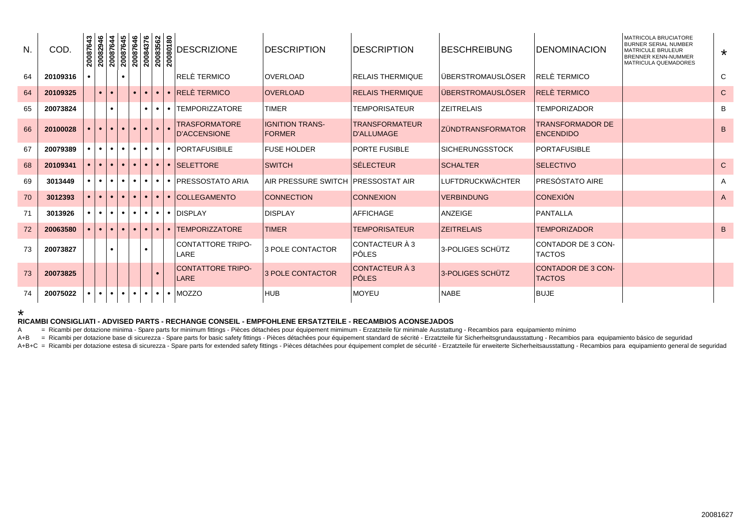| N. | COD.     | 20087643 | 20082946  | 20087644<br>20087645<br>20087646<br>20083562<br>20080180 |            |             |           |                     |           | <b>DESCRIZIONE</b>                          | <b>DESCRIPTION</b>                      | <b>DESCRIPTION</b>                         | <b>BESCHREIBUNG</b>        | <b>IDENOMINACION</b>                        | <b>MATRICOLA BRUCIATORE</b><br><b>BURNER SERIAL NUMBER</b><br><b>MATRICULE BRULEUR</b><br><b>BRENNER KENN-NUMMER</b><br><b>MATRICULA QUEMADORES</b> | $\star$        |
|----|----------|----------|-----------|----------------------------------------------------------|------------|-------------|-----------|---------------------|-----------|---------------------------------------------|-----------------------------------------|--------------------------------------------|----------------------------|---------------------------------------------|-----------------------------------------------------------------------------------------------------------------------------------------------------|----------------|
| 64 | 20109316 |          |           |                                                          | $\bullet$  |             |           |                     |           | RELÈ TERMICO                                | <b>OVERLOAD</b>                         | <b>RELAIS THERMIQUE</b>                    | lüberstromauslöser         | RELÈ TERMICO                                |                                                                                                                                                     | C              |
| 64 | 20109325 |          | $\bullet$ |                                                          |            |             | $\bullet$ | $\bullet$           | $\bullet$ | <b>RELÈ TERMICO</b>                         | <b>OVERLOAD</b>                         | <b>RELAIS THERMIQUE</b>                    | <b>ÜBERSTROMAUSLÖSER</b>   | <b>RELE TERMICO</b>                         |                                                                                                                                                     | $\mathsf{C}$   |
| 65 | 20073824 |          |           |                                                          |            |             | $\bullet$ | $\bullet$           |           | <b>TEMPORIZZATORE</b>                       | <b>TIMER</b>                            | TEMPORISATEUR                              | <b>ZEITRELAIS</b>          | <b>TEMPORIZADOR</b>                         |                                                                                                                                                     | B              |
| 66 | 20100028 |          | $\bullet$ |                                                          | <b>COL</b> | $\bullet$   | $\bullet$ | $\bullet$ $\bullet$ |           | <b>TRASFORMATORE</b><br><b>D'ACCENSIONE</b> | <b>IGNITION TRANS-</b><br><b>FORMER</b> | <b>TRANSFORMATEUR</b><br><b>D'ALLUMAGE</b> | <u>I ZÜNDTRANSFORMATOR</u> | <b>TRANSFORMADOR DE</b><br><b>ENCENDIDO</b> |                                                                                                                                                     | B              |
| 67 | 20079389 |          | $\bullet$ |                                                          | $\bullet$  | $\bullet$   | $\bullet$ | $\bullet$           | .         | <b>PORTAFUSIBILE</b>                        | <b>FUSE HOLDER</b>                      | <b>PORTE FUSIBLE</b>                       | ISICHERUNGSSTOCK           | <b>IPORTAFUSIBLE</b>                        |                                                                                                                                                     |                |
| 68 | 20109341 |          | $\bullet$ | $\bullet$ $\bullet$                                      |            | $\bullet$ 1 | $\bullet$ | $\bullet$           | $\bullet$ | <b>SELETTORE</b>                            | <b>SWITCH</b>                           | SÉLECTEUR                                  | <b>SCHALTER</b>            | <b>SELECTIVO</b>                            |                                                                                                                                                     | $\mathsf{C}$   |
| 69 | 3013449  |          | $\bullet$ |                                                          | $\bullet$  | $\bullet$   | $\bullet$ | $\bullet$           | $\bullet$ | IPRESSOSTATO ARIA                           | AIR PRESSURE SWITCH PRESSOSTAT AIR      |                                            | ILUFTDRUCKWÄCHTER          | IPRESÓSTATO AIRE                            |                                                                                                                                                     | A              |
| 70 | 3012393  |          | $\bullet$ |                                                          | $\bullet$  | $\bullet$   | $\bullet$ | $\bullet$           |           | <b>COLLEGAMENTO</b>                         | <b>CONNECTION</b>                       | <b>CONNEXION</b>                           | <b>VERBINDUNG</b>          | <b>CONEXIÓN</b>                             |                                                                                                                                                     | $\overline{A}$ |
| 71 | 3013926  |          | $\bullet$ |                                                          | $\bullet$  | $\bullet$   | $\bullet$ |                     |           | <b>DISPLAY</b>                              | <b>DISPLAY</b>                          | AFFICHAGE                                  | <b>ANZEIGE</b>             | <b>PANTALLA</b>                             |                                                                                                                                                     |                |
| 72 | 20063580 |          | $\bullet$ | $\bullet$                                                | $\bullet$  | $\bullet$   | $\bullet$ | $\bullet$           | $\bullet$ | <b>TEMPORIZZATORE</b>                       | <b>TIMER</b>                            | TEMPORISATEUR                              | <b>ZEITRELAIS</b>          | <b>TEMPORIZADOR</b>                         |                                                                                                                                                     | B              |
| 73 | 20073827 |          |           |                                                          |            |             |           |                     |           | <b>CONTATTORE TRIPO-</b><br>LARE            | 3 POLE CONTACTOR                        | CONTACTEUR À 3<br><b>PÔLES</b>             | l3-POLIGES SCHÜTZ          | <b>CONTADOR DE 3 CON-</b><br><b>TACTOS</b>  |                                                                                                                                                     |                |
| 73 | 20073825 |          |           |                                                          |            |             |           |                     |           | <b>CONTATTORE TRIPO-</b><br><b>LARE</b>     | <b>3 POLE CONTACTOR</b>                 | CONTACTEUR À 3<br><b>PÔLES</b>             | 3-POLIGES SCHÜTZ           | <b>CONTADOR DE 3 CON-</b><br><b>TACTOS</b>  |                                                                                                                                                     |                |
| 74 | 20075022 |          | $\bullet$ |                                                          | $\bullet$  | $\bullet$   | $\bullet$ |                     |           | <b>MOZZO</b>                                | <b>HUB</b>                              | <b>MOYEU</b>                               | <b>NABE</b>                | <b>BUJE</b>                                 |                                                                                                                                                     |                |

\*

## **RICAMBI CONSIGLIATI - ADVISED PARTS - RECHANGE CONSEIL - EMPFOHLENE ERSATZTEILE - RECAMBIOS ACONSEJADOS**

A = Ricambi per dotazione minima - Spare parts for minimum fittings - Pièces détachées pour équipement mimimum - Erzatzteile für minimale Ausstattung - Recambios para equipamiento mínimo

A+B = Ricambi per dotazione base di sicurezza - Spare parts for basic safety fittings - Pièces détachées pour équipement standard de sécrité - Erzatzteile für Sicherheitsgrundausstattung - Recambios para equipamiento básic

A+B+C = Ricambi per dotazione estesa di sicurezza - Spare parts for extended safety fittings - Pièces détachées pour équipement complet de sécurité - Erzatzteile für erweiterte Sicherheitsausstattung - Recambios para equip